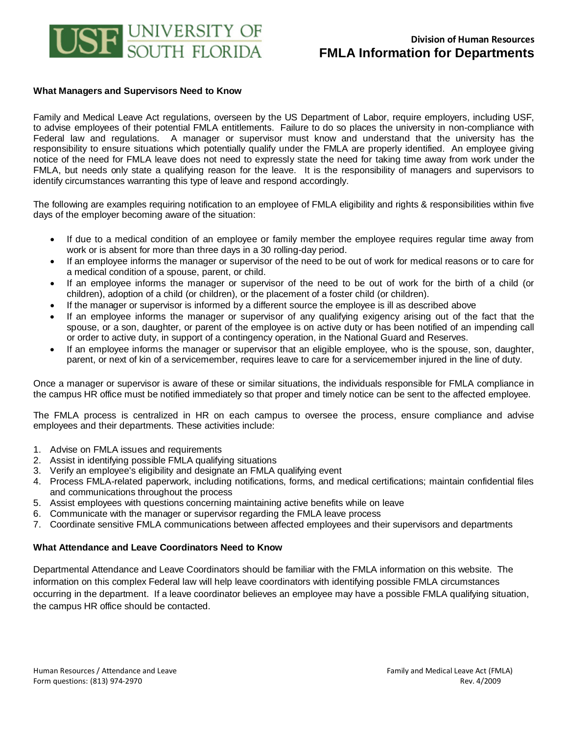

## **What Managers and Supervisors Need to Know**

Family and Medical Leave Act regulations, overseen by the US Department of Labor, require employers, including USF, to advise employees of their potential FMLA entitlements. Failure to do so places the university in non-compliance with Federal law and regulations. A manager or supervisor must know and understand that the university has the responsibility to ensure situations which potentially qualify under the FMLA are properly identified. An employee giving notice of the need for FMLA leave does not need to expressly state the need for taking time away from work under the FMLA, but needs only state a qualifying reason for the leave. It is the responsibility of managers and supervisors to identify circumstances warranting this type of leave and respond accordingly.

The following are examples requiring notification to an employee of FMLA eligibility and rights & responsibilities within five days of the employer becoming aware of the situation:

- If due to a medical condition of an employee or family member the employee requires regular time away from work or is absent for more than three days in a 30 rolling-day period.
- If an employee informs the manager or supervisor of the need to be out of work for medical reasons or to care for a medical condition of a spouse, parent, or child.
- If an employee informs the manager or supervisor of the need to be out of work for the birth of a child (or children), adoption of a child (or children), or the placement of a foster child (or children).
- If the manager or supervisor is informed by a different source the employee is ill as described above
- If an employee informs the manager or supervisor of any qualifying exigency arising out of the fact that the spouse, or a son, daughter, or parent of the employee is on active duty or has been notified of an impending call or order to active duty, in support of a contingency operation, in the National Guard and Reserves.
- If an employee informs the manager or supervisor that an eligible employee, who is the spouse, son, daughter, parent, or next of kin of a servicemember, requires leave to care for a servicemember injured in the line of duty.

Once a manager or supervisor is aware of these or similar situations, the individuals responsible for FMLA compliance in the campus HR office must be notified immediately so that proper and timely notice can be sent to the affected employee.

The FMLA process is centralized in HR on each campus to oversee the process, ensure compliance and advise employees and their departments. These activities include:

- 1. Advise on FMLA issues and requirements
- 2. Assist in identifying possible FMLA qualifying situations
- 3. Verify an employee's eligibility and designate an FMLA qualifying event
- 4. Process FMLA-related paperwork, including notifications, forms, and medical certifications; maintain confidential files and communications throughout the process
- 5. Assist employees with questions concerning maintaining active benefits while on leave
- 6. Communicate with the manager or supervisor regarding the FMLA leave process
- 7. Coordinate sensitive FMLA communications between affected employees and their supervisors and departments

## **What Attendance and Leave Coordinators Need to Know**

Departmental Attendance and Leave Coordinators should be familiar with the FMLA information on this website. The information on this complex Federal law will help leave coordinators with identifying possible FMLA circumstances occurring in the department. If a leave coordinator believes an employee may have a possible FMLA qualifying situation, the campus HR office should be contacted.